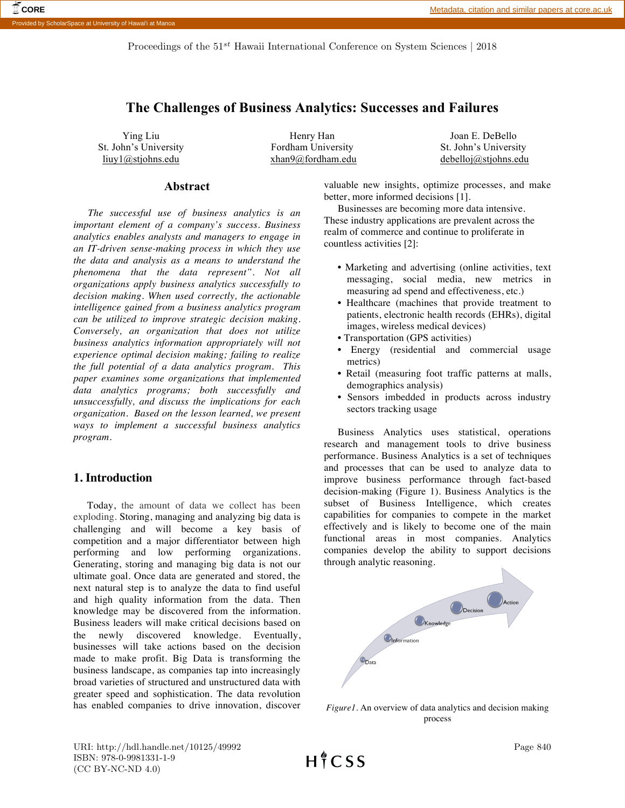Proceedings of the  $51^{st}$  Hawaii International Conference on System Sciences | 2018

# **The Challenges of Business Analytics: Successes and Failures**

Ying Liu St. John's University liuy1@stjohns.edu

Henry Han Fordham University xhan9@fordham.edu

Joan E. DeBello St. John's University debelloj@stjohns.edu

## **Abstract**

*The successful use of business analytics is an important element of a company's success. Business analytics enables analysts and managers to engage in an IT-driven sense-making process in which they use the data and analysis as a means to understand the phenomena that the data represent". Not all organizations apply business analytics successfully to decision making. When used correctly, the actionable intelligence gained from a business analytics program can be utilized to improve strategic decision making. Conversely, an organization that does not utilize business analytics information appropriately will not experience optimal decision making; failing to realize the full potential of a data analytics program. This paper examines some organizations that implemented data analytics programs; both successfully and unsuccessfully, and discuss the implications for each organization. Based on the lesson learned, we present ways to implement a successful business analytics program.*

## **1. Introduction**

Today, the amount of data we collect has been exploding. Storing, managing and analyzing big data is challenging and will become a key basis of competition and a major differentiator between high performing and low performing organizations. Generating, storing and managing big data is not our ultimate goal. Once data are generated and stored, the next natural step is to analyze the data to find useful and high quality information from the data. Then knowledge may be discovered from the information. Business leaders will make critical decisions based on the newly discovered knowledge. Eventually, businesses will take actions based on the decision made to make profit. Big Data is transforming the business landscape, as companies tap into increasingly broad varieties of structured and unstructured data with greater speed and sophistication. The data revolution has enabled companies to drive innovation, discover

valuable new insights, optimize processes, and make better, more informed decisions [1].

Businesses are becoming more data intensive. These industry applications are prevalent across the realm of commerce and continue to proliferate in countless activities [2]:

- Marketing and advertising (online activities, text messaging, social media, new metrics in measuring ad spend and effectiveness, etc.)
- Healthcare (machines that provide treatment to patients, electronic health records (EHRs), digital images, wireless medical devices)
- Transportation (GPS activities)
- Energy (residential and commercial usage metrics)
- Retail (measuring foot traffic patterns at malls, demographics analysis)
- Sensors imbedded in products across industry sectors tracking usage

Business Analytics uses statistical, operations research and management tools to drive business performance. Business Analytics is a set of techniques and processes that can be used to analyze data to improve business performance through fact-based decision-making (Figure 1). Business Analytics is the subset of Business Intelligence, which creates capabilities for companies to compete in the market effectively and is likely to become one of the main functional areas in most companies. Analytics companies develop the ability to support decisions through analytic reasoning.



*Figure1*. An overview of data analytics and decision making process

URI: http://hdl.handle.net/10125/49992 ISBN: 978-0-9981331-1-9 (CC BY-NC-ND 4.0)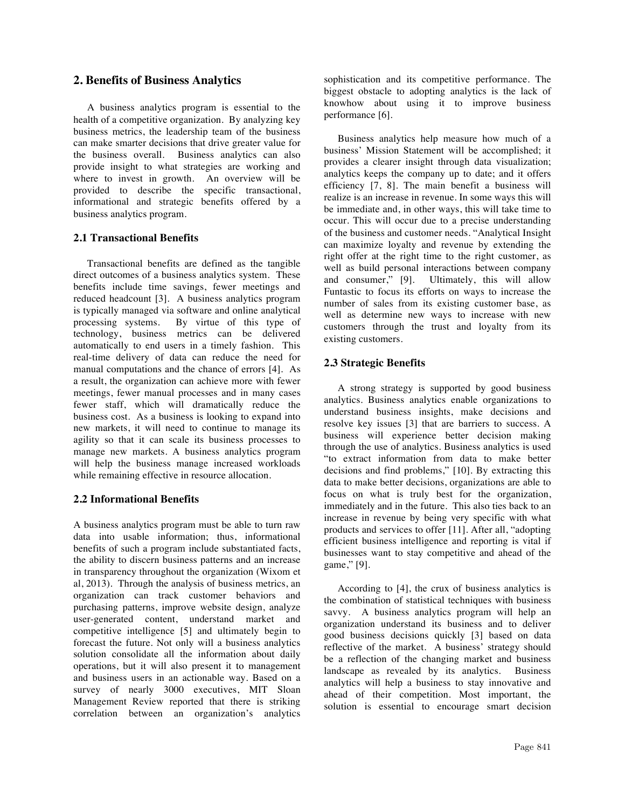## **2. Benefits of Business Analytics**

A business analytics program is essential to the health of a competitive organization. By analyzing key business metrics, the leadership team of the business can make smarter decisions that drive greater value for the business overall. Business analytics can also provide insight to what strategies are working and where to invest in growth. An overview will be provided to describe the specific transactional, informational and strategic benefits offered by a business analytics program.

### **2.1 Transactional Benefits**

Transactional benefits are defined as the tangible direct outcomes of a business analytics system. These benefits include time savings, fewer meetings and reduced headcount [3]. A business analytics program is typically managed via software and online analytical processing systems. By virtue of this type of technology, business metrics can be delivered automatically to end users in a timely fashion. This real-time delivery of data can reduce the need for manual computations and the chance of errors [4]. As a result, the organization can achieve more with fewer meetings, fewer manual processes and in many cases fewer staff, which will dramatically reduce the business cost. As a business is looking to expand into new markets, it will need to continue to manage its agility so that it can scale its business processes to manage new markets. A business analytics program will help the business manage increased workloads while remaining effective in resource allocation.

### **2.2 Informational Benefits**

A business analytics program must be able to turn raw data into usable information; thus, informational benefits of such a program include substantiated facts, the ability to discern business patterns and an increase in transparency throughout the organization (Wixom et al, 2013). Through the analysis of business metrics, an organization can track customer behaviors and purchasing patterns, improve website design, analyze user-generated content, understand market and competitive intelligence [5] and ultimately begin to forecast the future. Not only will a business analytics solution consolidate all the information about daily operations, but it will also present it to management and business users in an actionable way. Based on a survey of nearly 3000 executives, MIT Sloan Management Review reported that there is striking correlation between an organization's analytics sophistication and its competitive performance. The biggest obstacle to adopting analytics is the lack of knowhow about using it to improve business performance [6].

Business analytics help measure how much of a business' Mission Statement will be accomplished; it provides a clearer insight through data visualization; analytics keeps the company up to date; and it offers efficiency [7, 8]. The main benefit a business will realize is an increase in revenue. In some ways this will be immediate and, in other ways, this will take time to occur. This will occur due to a precise understanding of the business and customer needs. "Analytical Insight can maximize loyalty and revenue by extending the right offer at the right time to the right customer, as well as build personal interactions between company and consumer," [9]. Ultimately, this will allow Funtastic to focus its efforts on ways to increase the number of sales from its existing customer base, as well as determine new ways to increase with new customers through the trust and loyalty from its existing customers.

## **2.3 Strategic Benefits**

A strong strategy is supported by good business analytics. Business analytics enable organizations to understand business insights, make decisions and resolve key issues [3] that are barriers to success. A business will experience better decision making through the use of analytics. Business analytics is used "to extract information from data to make better decisions and find problems," [10]. By extracting this data to make better decisions, organizations are able to focus on what is truly best for the organization, immediately and in the future. This also ties back to an increase in revenue by being very specific with what products and services to offer [11]. After all, "adopting efficient business intelligence and reporting is vital if businesses want to stay competitive and ahead of the game," [9].

According to [4], the crux of business analytics is the combination of statistical techniques with business savvy. A business analytics program will help an organization understand its business and to deliver good business decisions quickly [3] based on data reflective of the market. A business' strategy should be a reflection of the changing market and business landscape as revealed by its analytics. Business analytics will help a business to stay innovative and ahead of their competition. Most important, the solution is essential to encourage smart decision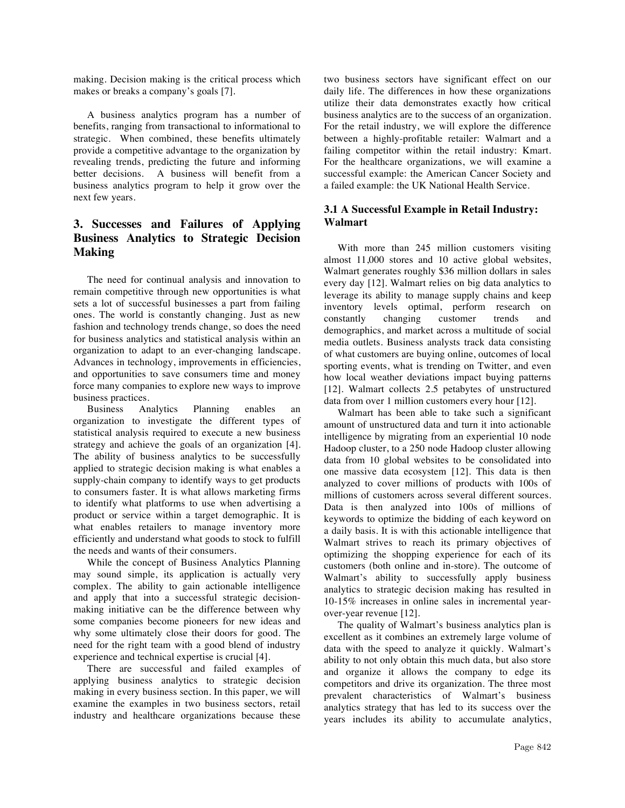making. Decision making is the critical process which makes or breaks a company's goals [7].

A business analytics program has a number of benefits, ranging from transactional to informational to strategic. When combined, these benefits ultimately provide a competitive advantage to the organization by revealing trends, predicting the future and informing better decisions. A business will benefit from a business analytics program to help it grow over the next few years.

# **3. Successes and Failures of Applying Business Analytics to Strategic Decision Making**

The need for continual analysis and innovation to remain competitive through new opportunities is what sets a lot of successful businesses a part from failing ones. The world is constantly changing. Just as new fashion and technology trends change, so does the need for business analytics and statistical analysis within an organization to adapt to an ever-changing landscape. Advances in technology, improvements in efficiencies, and opportunities to save consumers time and money force many companies to explore new ways to improve business practices.

Business Analytics Planning enables an organization to investigate the different types of statistical analysis required to execute a new business strategy and achieve the goals of an organization [4]. The ability of business analytics to be successfully applied to strategic decision making is what enables a supply-chain company to identify ways to get products to consumers faster. It is what allows marketing firms to identify what platforms to use when advertising a product or service within a target demographic. It is what enables retailers to manage inventory more efficiently and understand what goods to stock to fulfill the needs and wants of their consumers.

While the concept of Business Analytics Planning may sound simple, its application is actually very complex. The ability to gain actionable intelligence and apply that into a successful strategic decisionmaking initiative can be the difference between why some companies become pioneers for new ideas and why some ultimately close their doors for good. The need for the right team with a good blend of industry experience and technical expertise is crucial [4].

There are successful and failed examples of applying business analytics to strategic decision making in every business section. In this paper, we will examine the examples in two business sectors, retail industry and healthcare organizations because these

two business sectors have significant effect on our daily life. The differences in how these organizations utilize their data demonstrates exactly how critical business analytics are to the success of an organization. For the retail industry, we will explore the difference between a highly-profitable retailer: Walmart and a failing competitor within the retail industry: Kmart. For the healthcare organizations, we will examine a successful example: the American Cancer Society and a failed example: the UK National Health Service.

## **3.1 A Successful Example in Retail Industry: Walmart**

With more than 245 million customers visiting almost 11,000 stores and 10 active global websites, Walmart generates roughly \$36 million dollars in sales every day [12]. Walmart relies on big data analytics to leverage its ability to manage supply chains and keep inventory levels optimal, perform research on constantly changing customer trends and demographics, and market across a multitude of social media outlets. Business analysts track data consisting of what customers are buying online, outcomes of local sporting events, what is trending on Twitter, and even how local weather deviations impact buying patterns [12]. Walmart collects 2.5 petabytes of unstructured data from over 1 million customers every hour [12].

Walmart has been able to take such a significant amount of unstructured data and turn it into actionable intelligence by migrating from an experiential 10 node Hadoop cluster, to a 250 node Hadoop cluster allowing data from 10 global websites to be consolidated into one massive data ecosystem [12]. This data is then analyzed to cover millions of products with 100s of millions of customers across several different sources. Data is then analyzed into 100s of millions of keywords to optimize the bidding of each keyword on a daily basis. It is with this actionable intelligence that Walmart strives to reach its primary objectives of optimizing the shopping experience for each of its customers (both online and in-store). The outcome of Walmart's ability to successfully apply business analytics to strategic decision making has resulted in 10-15% increases in online sales in incremental yearover-year revenue [12].

The quality of Walmart's business analytics plan is excellent as it combines an extremely large volume of data with the speed to analyze it quickly. Walmart's ability to not only obtain this much data, but also store and organize it allows the company to edge its competitors and drive its organization. The three most prevalent characteristics of Walmart's business analytics strategy that has led to its success over the years includes its ability to accumulate analytics,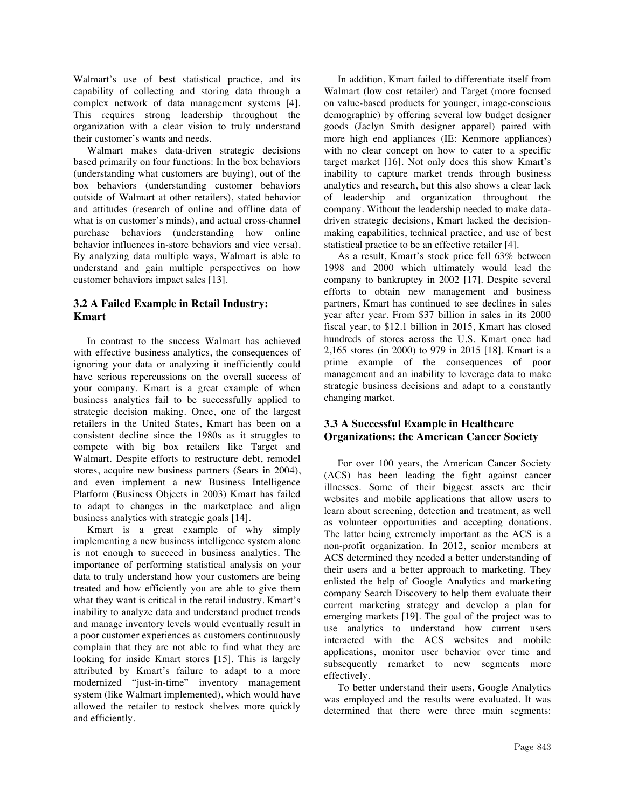Walmart's use of best statistical practice, and its capability of collecting and storing data through a complex network of data management systems [4]. This requires strong leadership throughout the organization with a clear vision to truly understand their customer's wants and needs.

Walmart makes data-driven strategic decisions based primarily on four functions: In the box behaviors (understanding what customers are buying), out of the box behaviors (understanding customer behaviors outside of Walmart at other retailers), stated behavior and attitudes (research of online and offline data of what is on customer's minds), and actual cross-channel purchase behaviors (understanding how online behavior influences in-store behaviors and vice versa). By analyzing data multiple ways, Walmart is able to understand and gain multiple perspectives on how customer behaviors impact sales [13].

## **3.2 A Failed Example in Retail Industry: Kmart**

In contrast to the success Walmart has achieved with effective business analytics, the consequences of ignoring your data or analyzing it inefficiently could have serious repercussions on the overall success of your company. Kmart is a great example of when business analytics fail to be successfully applied to strategic decision making. Once, one of the largest retailers in the United States, Kmart has been on a consistent decline since the 1980s as it struggles to compete with big box retailers like Target and Walmart. Despite efforts to restructure debt, remodel stores, acquire new business partners (Sears in 2004), and even implement a new Business Intelligence Platform (Business Objects in 2003) Kmart has failed to adapt to changes in the marketplace and align business analytics with strategic goals [14].

Kmart is a great example of why simply implementing a new business intelligence system alone is not enough to succeed in business analytics. The importance of performing statistical analysis on your data to truly understand how your customers are being treated and how efficiently you are able to give them what they want is critical in the retail industry. Kmart's inability to analyze data and understand product trends and manage inventory levels would eventually result in a poor customer experiences as customers continuously complain that they are not able to find what they are looking for inside Kmart stores [15]. This is largely attributed by Kmart's failure to adapt to a more modernized "just-in-time" inventory management system (like Walmart implemented), which would have allowed the retailer to restock shelves more quickly and efficiently.

In addition, Kmart failed to differentiate itself from Walmart (low cost retailer) and Target (more focused on value-based products for younger, image-conscious demographic) by offering several low budget designer goods (Jaclyn Smith designer apparel) paired with more high end appliances (IE: Kenmore appliances) with no clear concept on how to cater to a specific target market [16]. Not only does this show Kmart's inability to capture market trends through business analytics and research, but this also shows a clear lack of leadership and organization throughout the company. Without the leadership needed to make datadriven strategic decisions, Kmart lacked the decisionmaking capabilities, technical practice, and use of best statistical practice to be an effective retailer [4].

As a result, Kmart's stock price fell 63% between 1998 and 2000 which ultimately would lead the company to bankruptcy in 2002 [17]. Despite several efforts to obtain new management and business partners, Kmart has continued to see declines in sales year after year. From \$37 billion in sales in its 2000 fiscal year, to \$12.1 billion in 2015, Kmart has closed hundreds of stores across the U.S. Kmart once had 2,165 stores (in 2000) to 979 in 2015 [18]. Kmart is a prime example of the consequences of poor management and an inability to leverage data to make strategic business decisions and adapt to a constantly changing market.

## **3.3 A Successful Example in Healthcare Organizations: the American Cancer Society**

For over 100 years, the American Cancer Society (ACS) has been leading the fight against cancer illnesses. Some of their biggest assets are their websites and mobile applications that allow users to learn about screening, detection and treatment, as well as volunteer opportunities and accepting donations. The latter being extremely important as the ACS is a non-profit organization. In 2012, senior members at ACS determined they needed a better understanding of their users and a better approach to marketing. They enlisted the help of Google Analytics and marketing company Search Discovery to help them evaluate their current marketing strategy and develop a plan for emerging markets [19]. The goal of the project was to use analytics to understand how current users interacted with the ACS websites and mobile applications, monitor user behavior over time and subsequently remarket to new segments more effectively.

To better understand their users, Google Analytics was employed and the results were evaluated. It was determined that there were three main segments: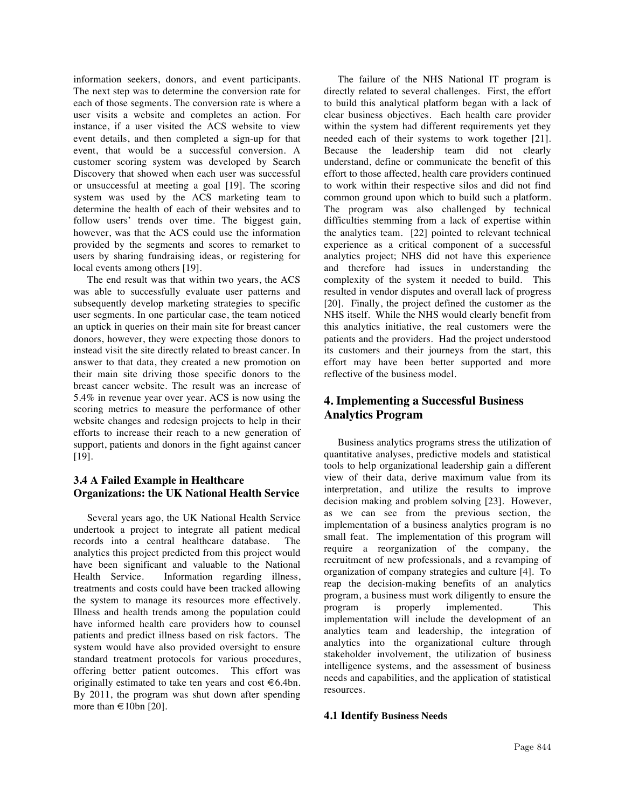information seekers, donors, and event participants. The next step was to determine the conversion rate for each of those segments. The conversion rate is where a user visits a website and completes an action. For instance, if a user visited the ACS website to view event details, and then completed a sign-up for that event, that would be a successful conversion. A customer scoring system was developed by Search Discovery that showed when each user was successful or unsuccessful at meeting a goal [19]. The scoring system was used by the ACS marketing team to determine the health of each of their websites and to follow users' trends over time. The biggest gain, however, was that the ACS could use the information provided by the segments and scores to remarket to users by sharing fundraising ideas, or registering for local events among others [19].

The end result was that within two years, the ACS was able to successfully evaluate user patterns and subsequently develop marketing strategies to specific user segments. In one particular case, the team noticed an uptick in queries on their main site for breast cancer donors, however, they were expecting those donors to instead visit the site directly related to breast cancer. In answer to that data, they created a new promotion on their main site driving those specific donors to the breast cancer website. The result was an increase of 5.4% in revenue year over year. ACS is now using the scoring metrics to measure the performance of other website changes and redesign projects to help in their efforts to increase their reach to a new generation of support, patients and donors in the fight against cancer [19].

## **3.4 A Failed Example in Healthcare Organizations: the UK National Health Service**

Several years ago, the UK National Health Service undertook a project to integrate all patient medical records into a central healthcare database. The analytics this project predicted from this project would have been significant and valuable to the National Health Service. Information regarding illness, treatments and costs could have been tracked allowing the system to manage its resources more effectively. Illness and health trends among the population could have informed health care providers how to counsel patients and predict illness based on risk factors. The system would have also provided oversight to ensure standard treatment protocols for various procedures, offering better patient outcomes. This effort was originally estimated to take ten years and cost  $\in 6.4$ bn. By 2011, the program was shut down after spending more than  $\in$  10bn [20].

The failure of the NHS National IT program is directly related to several challenges. First, the effort to build this analytical platform began with a lack of clear business objectives. Each health care provider within the system had different requirements yet they needed each of their systems to work together [21]. Because the leadership team did not clearly understand, define or communicate the benefit of this effort to those affected, health care providers continued to work within their respective silos and did not find common ground upon which to build such a platform. The program was also challenged by technical difficulties stemming from a lack of expertise within the analytics team. [22] pointed to relevant technical experience as a critical component of a successful analytics project; NHS did not have this experience and therefore had issues in understanding the complexity of the system it needed to build. This resulted in vendor disputes and overall lack of progress [20]. Finally, the project defined the customer as the NHS itself. While the NHS would clearly benefit from this analytics initiative, the real customers were the patients and the providers. Had the project understood its customers and their journeys from the start, this effort may have been better supported and more reflective of the business model.

## **4. Implementing a Successful Business Analytics Program**

Business analytics programs stress the utilization of quantitative analyses, predictive models and statistical tools to help organizational leadership gain a different view of their data, derive maximum value from its interpretation, and utilize the results to improve decision making and problem solving [23]. However, as we can see from the previous section, the implementation of a business analytics program is no small feat. The implementation of this program will require a reorganization of the company, the recruitment of new professionals, and a revamping of organization of company strategies and culture [4]. To reap the decision-making benefits of an analytics program, a business must work diligently to ensure the program is properly implemented. This implementation will include the development of an analytics team and leadership, the integration of analytics into the organizational culture through stakeholder involvement, the utilization of business intelligence systems, and the assessment of business needs and capabilities, and the application of statistical resources.

## **4.1 Identify Business Needs**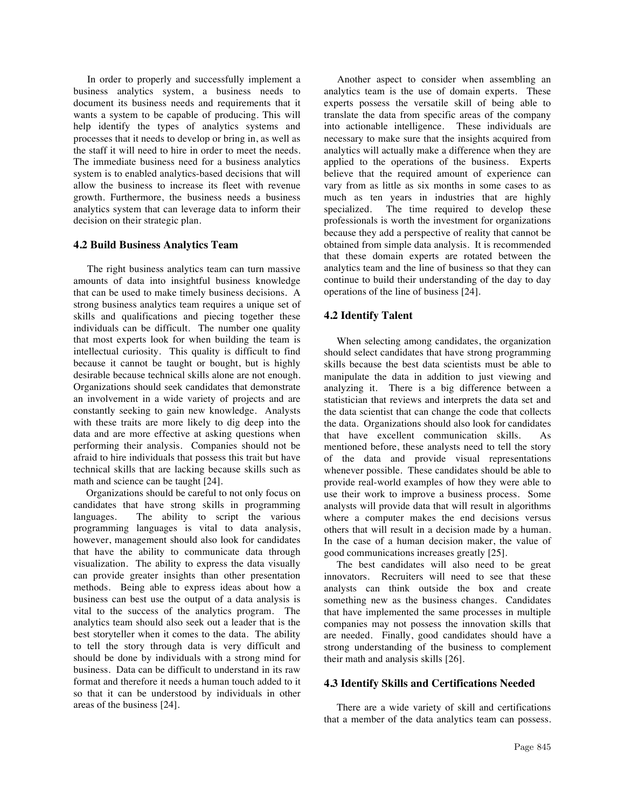In order to properly and successfully implement a business analytics system, a business needs to document its business needs and requirements that it wants a system to be capable of producing. This will help identify the types of analytics systems and processes that it needs to develop or bring in, as well as the staff it will need to hire in order to meet the needs. The immediate business need for a business analytics system is to enabled analytics-based decisions that will allow the business to increase its fleet with revenue growth. Furthermore, the business needs a business analytics system that can leverage data to inform their decision on their strategic plan.

### **4.2 Build Business Analytics Team**

The right business analytics team can turn massive amounts of data into insightful business knowledge that can be used to make timely business decisions. A strong business analytics team requires a unique set of skills and qualifications and piecing together these individuals can be difficult. The number one quality that most experts look for when building the team is intellectual curiosity. This quality is difficult to find because it cannot be taught or bought, but is highly desirable because technical skills alone are not enough. Organizations should seek candidates that demonstrate an involvement in a wide variety of projects and are constantly seeking to gain new knowledge. Analysts with these traits are more likely to dig deep into the data and are more effective at asking questions when performing their analysis. Companies should not be afraid to hire individuals that possess this trait but have technical skills that are lacking because skills such as math and science can be taught [24].

 Organizations should be careful to not only focus on candidates that have strong skills in programming languages. The ability to script the various programming languages is vital to data analysis, however, management should also look for candidates that have the ability to communicate data through visualization. The ability to express the data visually can provide greater insights than other presentation methods. Being able to express ideas about how a business can best use the output of a data analysis is vital to the success of the analytics program. The analytics team should also seek out a leader that is the best storyteller when it comes to the data. The ability to tell the story through data is very difficult and should be done by individuals with a strong mind for business. Data can be difficult to understand in its raw format and therefore it needs a human touch added to it so that it can be understood by individuals in other areas of the business [24].

Another aspect to consider when assembling an analytics team is the use of domain experts. These experts possess the versatile skill of being able to translate the data from specific areas of the company into actionable intelligence. These individuals are necessary to make sure that the insights acquired from analytics will actually make a difference when they are applied to the operations of the business. Experts believe that the required amount of experience can vary from as little as six months in some cases to as much as ten years in industries that are highly specialized. The time required to develop these professionals is worth the investment for organizations because they add a perspective of reality that cannot be obtained from simple data analysis. It is recommended that these domain experts are rotated between the analytics team and the line of business so that they can continue to build their understanding of the day to day operations of the line of business [24].

### **4.2 Identify Talent**

When selecting among candidates, the organization should select candidates that have strong programming skills because the best data scientists must be able to manipulate the data in addition to just viewing and analyzing it. There is a big difference between a statistician that reviews and interprets the data set and the data scientist that can change the code that collects the data. Organizations should also look for candidates that have excellent communication skills. As mentioned before, these analysts need to tell the story of the data and provide visual representations whenever possible. These candidates should be able to provide real-world examples of how they were able to use their work to improve a business process. Some analysts will provide data that will result in algorithms where a computer makes the end decisions versus others that will result in a decision made by a human. In the case of a human decision maker, the value of good communications increases greatly [25].

 The best candidates will also need to be great innovators. Recruiters will need to see that these analysts can think outside the box and create something new as the business changes. Candidates that have implemented the same processes in multiple companies may not possess the innovation skills that are needed. Finally, good candidates should have a strong understanding of the business to complement their math and analysis skills [26].

### **4.3 Identify Skills and Certifications Needed**

There are a wide variety of skill and certifications that a member of the data analytics team can possess.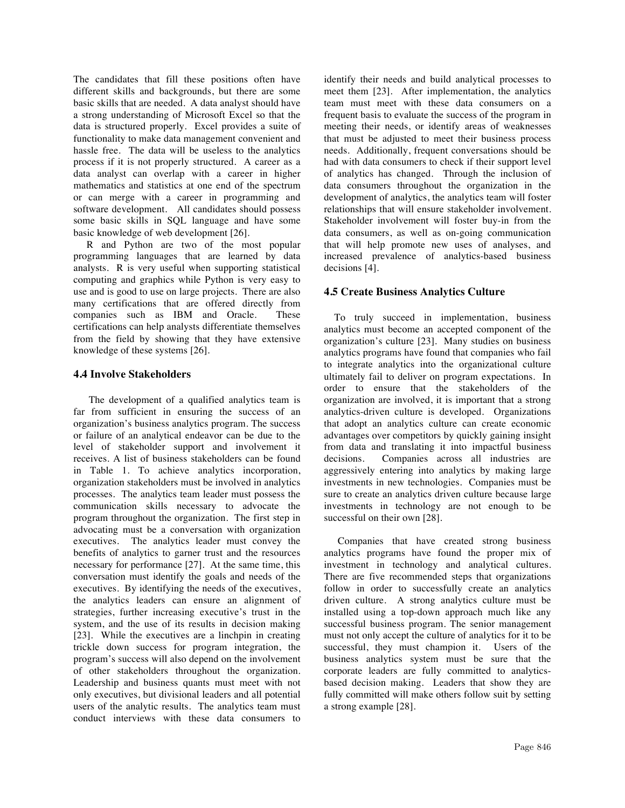The candidates that fill these positions often have different skills and backgrounds, but there are some basic skills that are needed. A data analyst should have a strong understanding of Microsoft Excel so that the data is structured properly. Excel provides a suite of functionality to make data management convenient and hassle free. The data will be useless to the analytics process if it is not properly structured. A career as a data analyst can overlap with a career in higher mathematics and statistics at one end of the spectrum or can merge with a career in programming and software development. All candidates should possess some basic skills in SQL language and have some basic knowledge of web development [26].

R and Python are two of the most popular programming languages that are learned by data analysts. R is very useful when supporting statistical computing and graphics while Python is very easy to use and is good to use on large projects. There are also many certifications that are offered directly from companies such as IBM and Oracle. These certifications can help analysts differentiate themselves from the field by showing that they have extensive knowledge of these systems [26].

### **4.4 Involve Stakeholders**

 The development of a qualified analytics team is far from sufficient in ensuring the success of an organization's business analytics program. The success or failure of an analytical endeavor can be due to the level of stakeholder support and involvement it receives. A list of business stakeholders can be found in Table 1. To achieve analytics incorporation, organization stakeholders must be involved in analytics processes. The analytics team leader must possess the communication skills necessary to advocate the program throughout the organization. The first step in advocating must be a conversation with organization executives. The analytics leader must convey the benefits of analytics to garner trust and the resources necessary for performance [27]. At the same time, this conversation must identify the goals and needs of the executives. By identifying the needs of the executives, the analytics leaders can ensure an alignment of strategies, further increasing executive's trust in the system, and the use of its results in decision making [23]. While the executives are a linchpin in creating trickle down success for program integration, the program's success will also depend on the involvement of other stakeholders throughout the organization. Leadership and business quants must meet with not only executives, but divisional leaders and all potential users of the analytic results. The analytics team must conduct interviews with these data consumers to

identify their needs and build analytical processes to meet them [23]. After implementation, the analytics team must meet with these data consumers on a frequent basis to evaluate the success of the program in meeting their needs, or identify areas of weaknesses that must be adjusted to meet their business process needs. Additionally, frequent conversations should be had with data consumers to check if their support level of analytics has changed. Through the inclusion of data consumers throughout the organization in the development of analytics, the analytics team will foster relationships that will ensure stakeholder involvement. Stakeholder involvement will foster buy-in from the data consumers, as well as on-going communication that will help promote new uses of analyses, and increased prevalence of analytics-based business decisions [4].

## **4.5 Create Business Analytics Culture**

To truly succeed in implementation, business analytics must become an accepted component of the organization's culture [23]. Many studies on business analytics programs have found that companies who fail to integrate analytics into the organizational culture ultimately fail to deliver on program expectations. In order to ensure that the stakeholders of the organization are involved, it is important that a strong analytics-driven culture is developed. Organizations that adopt an analytics culture can create economic advantages over competitors by quickly gaining insight from data and translating it into impactful business decisions. Companies across all industries are aggressively entering into analytics by making large investments in new technologies. Companies must be sure to create an analytics driven culture because large investments in technology are not enough to be successful on their own [28].

Companies that have created strong business analytics programs have found the proper mix of investment in technology and analytical cultures. There are five recommended steps that organizations follow in order to successfully create an analytics driven culture. A strong analytics culture must be installed using a top-down approach much like any successful business program. The senior management must not only accept the culture of analytics for it to be successful, they must champion it. Users of the business analytics system must be sure that the corporate leaders are fully committed to analyticsbased decision making. Leaders that show they are fully committed will make others follow suit by setting a strong example [28].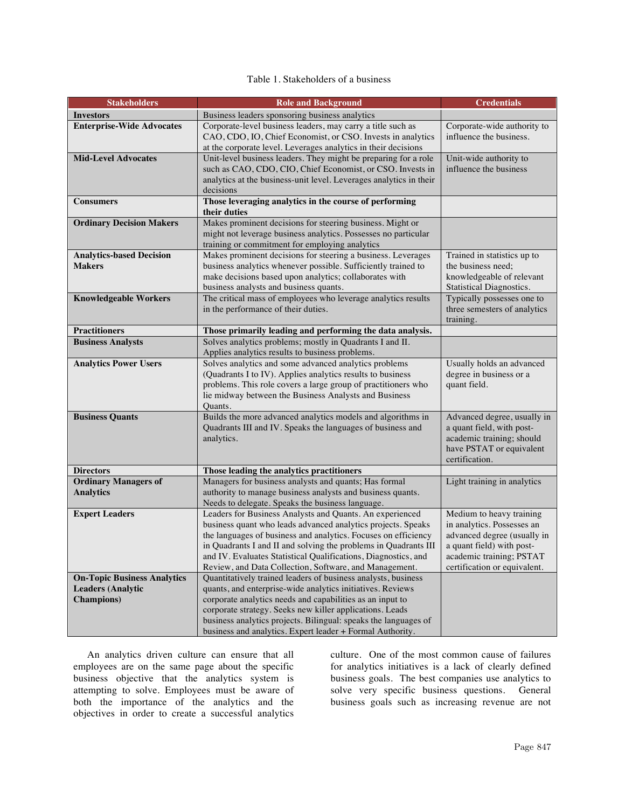## Table 1. Stakeholders of a business

| <b>Stakeholders</b>                              | <b>Role and Background</b>                                                                                              | <b>Credentials</b>                                |
|--------------------------------------------------|-------------------------------------------------------------------------------------------------------------------------|---------------------------------------------------|
| <b>Investors</b>                                 | Business leaders sponsoring business analytics                                                                          |                                                   |
| <b>Enterprise-Wide Advocates</b>                 | Corporate-level business leaders, may carry a title such as                                                             | Corporate-wide authority to                       |
|                                                  | CAO, CDO, IO, Chief Economist, or CSO. Invests in analytics                                                             | influence the business.                           |
|                                                  | at the corporate level. Leverages analytics in their decisions                                                          |                                                   |
| <b>Mid-Level Advocates</b>                       | Unit-level business leaders. They might be preparing for a role                                                         | Unit-wide authority to                            |
|                                                  | such as CAO, CDO, CIO, Chief Economist, or CSO. Invests in                                                              | influence the business                            |
|                                                  | analytics at the business-unit level. Leverages analytics in their                                                      |                                                   |
|                                                  | decisions                                                                                                               |                                                   |
| <b>Consumers</b>                                 | Those leveraging analytics in the course of performing                                                                  |                                                   |
|                                                  | their duties                                                                                                            |                                                   |
| <b>Ordinary Decision Makers</b>                  | Makes prominent decisions for steering business. Might or                                                               |                                                   |
|                                                  | might not leverage business analytics. Possesses no particular                                                          |                                                   |
|                                                  | training or commitment for employing analytics                                                                          |                                                   |
| <b>Analytics-based Decision</b><br><b>Makers</b> | Makes prominent decisions for steering a business. Leverages                                                            | Trained in statistics up to<br>the business need; |
|                                                  | business analytics whenever possible. Sufficiently trained to<br>make decisions based upon analytics; collaborates with | knowledgeable of relevant                         |
|                                                  | business analysts and business quants.                                                                                  | Statistical Diagnostics.                          |
| <b>Knowledgeable Workers</b>                     | The critical mass of employees who leverage analytics results                                                           | Typically possesses one to                        |
|                                                  | in the performance of their duties.                                                                                     | three semesters of analytics                      |
|                                                  |                                                                                                                         | training.                                         |
| <b>Practitioners</b>                             | Those primarily leading and performing the data analysis.                                                               |                                                   |
| <b>Business Analysts</b>                         | Solves analytics problems; mostly in Quadrants I and II.                                                                |                                                   |
|                                                  | Applies analytics results to business problems.                                                                         |                                                   |
| <b>Analytics Power Users</b>                     | Solves analytics and some advanced analytics problems                                                                   | Usually holds an advanced                         |
|                                                  | (Quadrants I to IV). Applies analytics results to business                                                              | degree in business or a                           |
|                                                  | problems. This role covers a large group of practitioners who                                                           | quant field.                                      |
|                                                  | lie midway between the Business Analysts and Business                                                                   |                                                   |
|                                                  | Quants.                                                                                                                 |                                                   |
| <b>Business Quants</b>                           | Builds the more advanced analytics models and algorithms in                                                             | Advanced degree, usually in                       |
|                                                  | Quadrants III and IV. Speaks the languages of business and                                                              | a quant field, with post-                         |
|                                                  | analytics.                                                                                                              | academic training; should                         |
|                                                  |                                                                                                                         | have PSTAT or equivalent<br>certification.        |
| <b>Directors</b>                                 | Those leading the analytics practitioners                                                                               |                                                   |
| <b>Ordinary Managers of</b>                      | Managers for business analysts and quants; Has formal                                                                   | Light training in analytics                       |
| <b>Analytics</b>                                 | authority to manage business analysts and business quants.                                                              |                                                   |
|                                                  | Needs to delegate. Speaks the business language.                                                                        |                                                   |
| <b>Expert Leaders</b>                            | Leaders for Business Analysts and Quants. An experienced                                                                | Medium to heavy training                          |
|                                                  | business quant who leads advanced analytics projects. Speaks                                                            | in analytics. Possesses an                        |
|                                                  | the languages of business and analytics. Focuses on efficiency                                                          | advanced degree (usually in                       |
|                                                  | in Quadrants I and II and solving the problems in Quadrants III                                                         | a quant field) with post-                         |
|                                                  | and IV. Evaluates Statistical Qualifications, Diagnostics, and                                                          | academic training; PSTAT                          |
|                                                  | Review, and Data Collection, Software, and Management.                                                                  | certification or equivalent.                      |
| <b>On-Topic Business Analytics</b>               | Quantitatively trained leaders of business analysts, business                                                           |                                                   |
| <b>Leaders (Analytic</b>                         | quants, and enterprise-wide analytics initiatives. Reviews                                                              |                                                   |
| <b>Champions</b> )                               | corporate analytics needs and capabilities as an input to                                                               |                                                   |
|                                                  | corporate strategy. Seeks new killer applications. Leads                                                                |                                                   |
|                                                  | business analytics projects. Bilingual: speaks the languages of                                                         |                                                   |
|                                                  | business and analytics. Expert leader + Formal Authority.                                                               |                                                   |

An analytics driven culture can ensure that all employees are on the same page about the specific business objective that the analytics system is attempting to solve. Employees must be aware of both the importance of the analytics and the objectives in order to create a successful analytics

culture. One of the most common cause of failures for analytics initiatives is a lack of clearly defined business goals. The best companies use analytics to solve very specific business questions. General business goals such as increasing revenue are not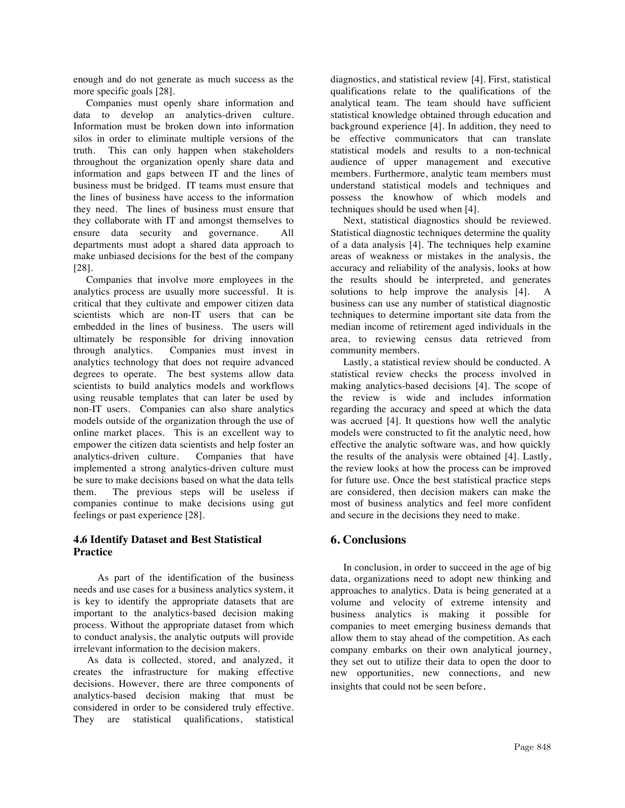enough and do not generate as much success as the more specific goals [28].

 Companies must openly share information and data to develop an analytics-driven culture. Information must be broken down into information silos in order to eliminate multiple versions of the truth. This can only happen when stakeholders throughout the organization openly share data and information and gaps between IT and the lines of business must be bridged. IT teams must ensure that the lines of business have access to the information they need. The lines of business must ensure that they collaborate with IT and amongst themselves to ensure data security and governance. All departments must adopt a shared data approach to make unbiased decisions for the best of the company [28].

 Companies that involve more employees in the analytics process are usually more successful. It is critical that they cultivate and empower citizen data scientists which are non-IT users that can be embedded in the lines of business. The users will ultimately be responsible for driving innovation through analytics. Companies must invest in analytics technology that does not require advanced degrees to operate. The best systems allow data scientists to build analytics models and workflows using reusable templates that can later be used by non-IT users. Companies can also share analytics models outside of the organization through the use of online market places. This is an excellent way to empower the citizen data scientists and help foster an analytics-driven culture. Companies that have implemented a strong analytics-driven culture must be sure to make decisions based on what the data tells them. The previous steps will be useless if companies continue to make decisions using gut feelings or past experience [28].

## **4.6 Identify Dataset and Best Statistical Practice**

 As part of the identification of the business needs and use cases for a business analytics system, it is key to identify the appropriate datasets that are important to the analytics-based decision making process. Without the appropriate dataset from which to conduct analysis, the analytic outputs will provide irrelevant information to the decision makers.

As data is collected, stored, and analyzed, it creates the infrastructure for making effective decisions. However, there are three components of analytics-based decision making that must be considered in order to be considered truly effective. They are statistical qualifications, statistical diagnostics, and statistical review [4]. First, statistical qualifications relate to the qualifications of the analytical team. The team should have sufficient statistical knowledge obtained through education and background experience [4]. In addition, they need to be effective communicators that can translate statistical models and results to a non-technical audience of upper management and executive members. Furthermore, analytic team members must understand statistical models and techniques and possess the knowhow of which models and techniques should be used when [4].

 Next, statistical diagnostics should be reviewed. Statistical diagnostic techniques determine the quality of a data analysis [4]. The techniques help examine areas of weakness or mistakes in the analysis, the accuracy and reliability of the analysis, looks at how the results should be interpreted, and generates solutions to help improve the analysis [4]. A business can use any number of statistical diagnostic techniques to determine important site data from the median income of retirement aged individuals in the area, to reviewing census data retrieved from community members.

 Lastly, a statistical review should be conducted. A statistical review checks the process involved in making analytics-based decisions [4]. The scope of the review is wide and includes information regarding the accuracy and speed at which the data was accrued [4]. It questions how well the analytic models were constructed to fit the analytic need, how effective the analytic software was, and how quickly the results of the analysis were obtained [4]. Lastly, the review looks at how the process can be improved for future use. Once the best statistical practice steps are considered, then decision makers can make the most of business analytics and feel more confident and secure in the decisions they need to make.

## **6. Conclusions**

 In conclusion, in order to succeed in the age of big data, organizations need to adopt new thinking and approaches to analytics. Data is being generated at a volume and velocity of extreme intensity and business analytics is making it possible for companies to meet emerging business demands that allow them to stay ahead of the competition. As each company embarks on their own analytical journey, they set out to utilize their data to open the door to new opportunities, new connections, and new insights that could not be seen before.